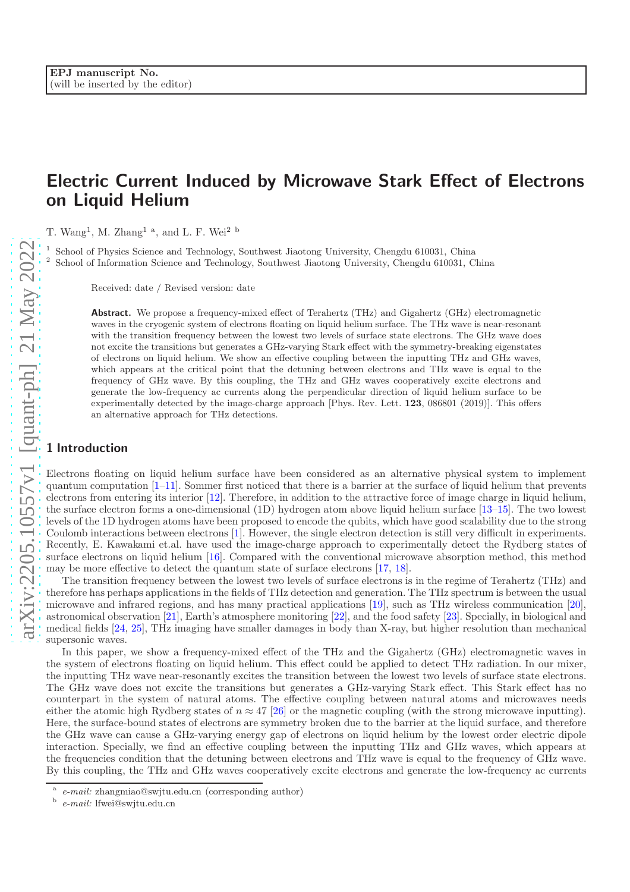# Electric Current Induced by Microwave Stark Effect of Electrons on Liquid Helium

T. Wang<sup>1</sup>, M. Zhang<sup>1</sup><sup>a</sup>, and L. F. Wei<sup>2</sup><sup>b</sup>

School of Physics Science and Technology, Southwest Jiaotong University, Chengdu 610031, China School of Information Science and Technology, Southwest Jiaotong University, Chengdu 610031, China

Received: date / Revised version: date

Abstract. We propose a frequency-mixed effect of Terahertz (THz) and Gigahertz (GHz) electromagnetic waves in the cryogenic system of electrons floating on liquid helium surface. The THz wave is near-resonant with the transition frequency between the lowest two levels of surface state electrons. The GHz wave does not excite the transitions but generates a GHz-varying Stark effect with the symmetry-breaking eigenstates of electrons on liquid helium. We show an effective coupling between the inputting THz and GHz waves, which appears at the critical point that the detuning between electrons and THz wave is equal to the frequency of GHz wave. By this coupling, the THz and GHz waves cooperatively excite electrons and generate the low-frequency ac currents along the perpendicular direction of liquid helium surface to be experimentally detected by the image-charge approach [Phys. Rev. Lett. 123, 086801 (2019)]. This offers an alternative approach for THz detections.

## 1 Introduction

Electrons floating on liquid helium surface have been considered as an alternative physical system to implement quantum computation  $[1-11]$ . Sommer first noticed that there is a barrier at the surface of liquid helium that prevents electrons from entering its interior [\[12\]](#page-7-2). Therefore, in addition to the attractive force of image charge in liquid helium, the surface electron forms a one-dimensional (1D) hydrogen atom above liquid helium surface [\[13](#page-7-3)[–15\]](#page-8-0). The two lowest levels of the 1D hydrogen atoms have been proposed to encode the qubits, which have good scalability due to the strong Coulomb interactions between electrons [\[1](#page-7-0)]. However, the single electron detection is still very difficult in experiments. Recently, E. Kawakami et.al. have used the image-charge approach to experimentally detect the Rydberg states of surface electrons on liquid helium [\[16\]](#page-8-1). Compared with the conventional microwave absorption method, this method may be more effective to detect the quantum state of surface electrons [\[17](#page-8-2), [18](#page-8-3)].

The transition frequency between the lowest two levels of surface electrons is in the regime of Terahertz (THz) and therefore has perhaps applications in the fields of THz detection and generation. The THz spectrum is between the usual microwave and infrared regions, and has many practical applications [\[19\]](#page-8-4), such as THz wireless communication [20], astronomical observation [\[21\]](#page-8-5), Earth's atmosphere monitoring [\[22](#page-8-6)], and the food safety [\[23\]](#page-8-7). Specially, in biological and medical fields [\[24](#page-8-8), [25\]](#page-8-9), THz imaging have smaller damages in body than X-ray, but higher resolution than mechanical supersonic waves.

In this paper, we show a frequency-mixed effect of the THz and the Gigahertz (GHz) electromagnetic waves in the system of electrons floating on liquid helium. This effect could be applied to detect THz radiation. In our mixer, the inputting THz wave near-resonantly excites the transition between the lowest two levels of surface state electrons. The GHz wave does not excite the transitions but generates a GHz-varying Stark effect. This Stark effect has no counterpart in the system of natural atoms. The effective coupling between natural atoms and microwaves needs either the atomic high Rydberg states of  $n \approx 47$  [\[26\]](#page-8-10) or the magnetic coupling (with the strong microwave inputting). Here, the surface-bound states of electrons are symmetry broken due to the barrier at the liquid surface, and therefore the GHz wave can cause a GHz-varying energy gap of electrons on liquid helium by the lowest order electric dipole interaction. Specially, we find an effective coupling between the inputting THz and GHz waves, which appears at the frequencies condition that the detuning between electrons and THz wave is equal to the frequency of GHz wave. By this coupling, the THz and GHz waves cooperatively excite electrons and generate the low-frequency ac currents

a e-mail: zhangmiao@swjtu.edu.cn (corresponding author)

b e-mail: lfwei@swjtu.edu.cn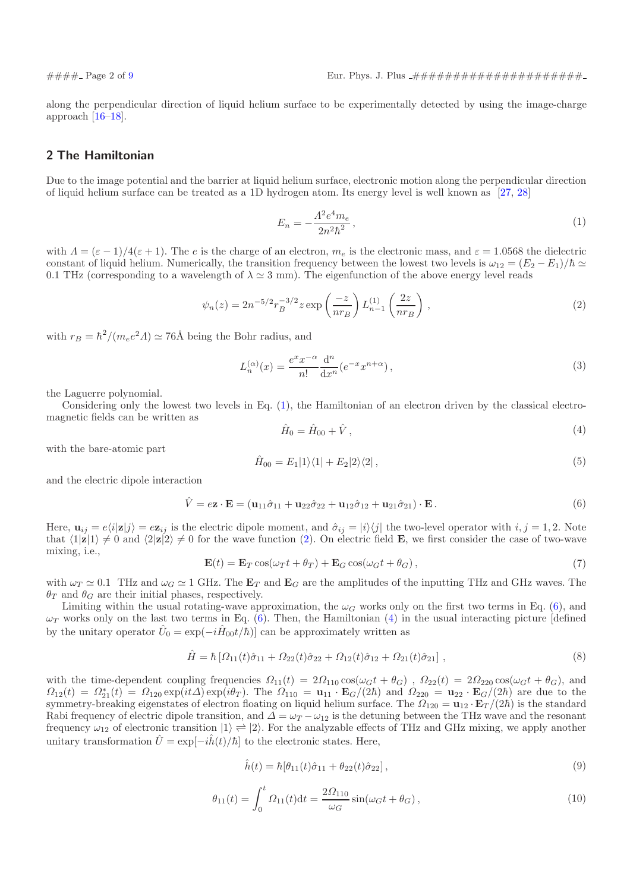along the perpendicular direction of liquid helium surface to be experimentally detected by using the image-charge approach [\[16](#page-8-1)[–18](#page-8-3)].

## <span id="page-1-5"></span>2 The Hamiltonian

Due to the image potential and the barrier at liquid helium surface, electronic motion along the perpendicular direction of liquid helium surface can be treated as a 1D hydrogen atom. Its energy level is well known as [\[27,](#page-8-11) [28\]](#page-8-12)

<span id="page-1-0"></span>
$$
E_n = -\frac{\Lambda^2 e^4 m_e}{2n^2 \hbar^2},\tag{1}
$$

with  $\Lambda = (\varepsilon - 1)/4(\varepsilon + 1)$ . The e is the charge of an electron,  $m_e$  is the electronic mass, and  $\varepsilon = 1.0568$  the dielectric constant of liquid helium. Numerically, the transition frequency between the lowest two levels is  $\omega_{12} = (E_2 - E_1)/\hbar \simeq$ 0.1 THz (corresponding to a wavelength of  $\lambda \approx 3$  mm). The eigenfunction of the above energy level reads

<span id="page-1-1"></span>
$$
\psi_n(z) = 2n^{-5/2} r_B^{-3/2} z \exp\left(\frac{-z}{nr_B}\right) L_{n-1}^{(1)}\left(\frac{2z}{nr_B}\right) ,\qquad (2)
$$

with  $r_B = \hbar^2/(m_e e^2 \Lambda) \simeq 76$ Å being the Bohr radius, and

$$
L_n^{(\alpha)}(x) = \frac{e^x x^{-\alpha}}{n!} \frac{d^n}{dx^n} (e^{-x} x^{n+\alpha}), \qquad (3)
$$

the Laguerre polynomial.

Considering only the lowest two levels in Eq. [\(1\)](#page-1-0), the Hamiltonian of an electron driven by the classical electromagnetic fields can be written as

<span id="page-1-3"></span>
$$
\hat{H}_0 = \hat{H}_{00} + \hat{V},\tag{4}
$$

with the bare-atomic part

$$
\hat{H}_{00} = E_1|1\rangle\langle1| + E_2|2\rangle\langle2| \,,\tag{5}
$$

and the electric dipole interaction

<span id="page-1-2"></span>
$$
\hat{V} = e\mathbf{z} \cdot \mathbf{E} = (\mathbf{u}_{11}\hat{\sigma}_{11} + \mathbf{u}_{22}\hat{\sigma}_{22} + \mathbf{u}_{12}\hat{\sigma}_{12} + \mathbf{u}_{21}\hat{\sigma}_{21}) \cdot \mathbf{E}.
$$
\n(6)

Here,  $u_{ij} = e\langle i|z|j\rangle = e\mathbf{z}_{ij}$  is the electric dipole moment, and  $\hat{\sigma}_{ij} = |i\rangle\langle j|$  the two-level operator with  $i, j = 1, 2$ . Note that  $\langle 1|z|1 \rangle \neq 0$  and  $\langle 2|z|2 \rangle \neq 0$  for the wave function [\(2\)](#page-1-1). On electric field **E**, we first consider the case of two-wave mixing, i.e.,

<span id="page-1-6"></span>
$$
\mathbf{E}(t) = \mathbf{E}_T \cos(\omega_T t + \theta_T) + \mathbf{E}_G \cos(\omega_G t + \theta_G), \qquad (7)
$$

with  $\omega_T \simeq 0.1$  THz and  $\omega_G \simeq 1$  GHz. The  $\mathbf{E}_T$  and  $\mathbf{E}_G$  are the amplitudes of the inputting THz and GHz waves. The  $\theta_T$  and  $\theta_G$  are their initial phases, respectively.

Limiting within the usual rotating-wave approximation, the  $\omega_G$  works only on the first two terms in Eq. [\(6\)](#page-1-2), and  $\omega_T$  works only on the last two terms in Eq. [\(6\)](#page-1-2). Then, the Hamiltonian [\(4\)](#page-1-3) in the usual interacting picture [defined by the unitary operator  $\hat{U}_0 = \exp(-i\hat{H}_{00}t/\hbar)]$  can be approximately written as

<span id="page-1-4"></span>
$$
\hat{H} = \hbar \left[ \Omega_{11}(t)\hat{\sigma}_{11} + \Omega_{22}(t)\hat{\sigma}_{22} + \Omega_{12}(t)\hat{\sigma}_{12} + \Omega_{21}(t)\hat{\sigma}_{21} \right],
$$
\n(8)

with the time-dependent coupling frequencies  $\Omega_{11}(t) = 2\Omega_{110} \cos(\omega_G t + \theta_G)$ ,  $\Omega_{22}(t) = 2\Omega_{220} \cos(\omega_G t + \theta_G)$ , and  $\Omega_{12}(t) = \Omega_{21}^*(t) = \Omega_{120} \exp(it\Delta) \exp(i\theta_T)$ . The  $\Omega_{110} = \mathbf{u}_{11} \cdot \mathbf{E}_G/(2\hbar)$  and  $\Omega_{220} = \mathbf{u}_{22} \cdot \mathbf{E}_G/(2\hbar)$  are due to the symmetry-breaking eigenstates of electron floating on liquid helium surface. The  $\Omega_{120} = u_{12} \cdot E_T/(2\hbar)$  is the standard Rabi frequency of electric dipole transition, and  $\Delta = \omega_T - \omega_{12}$  is the detuning between the THz wave and the resonant frequency  $\omega_{12}$  of electronic transition  $|1\rangle \rightleftharpoons |2\rangle$ . For the analyzable effects of THz and GHz mixing, we apply another unitary transformation  $\hat{U} = \exp[-i\hat{h}(t)/\hbar]$  to the electronic states. Here,

$$
\hat{h}(t) = \hbar[\theta_{11}(t)\hat{\sigma}_{11} + \theta_{22}(t)\hat{\sigma}_{22}], \qquad (9)
$$

$$
\theta_{11}(t) = \int_0^t \Omega_{11}(t) dt = \frac{2\Omega_{110}}{\omega_G} \sin(\omega_G t + \theta_G), \qquad (10)
$$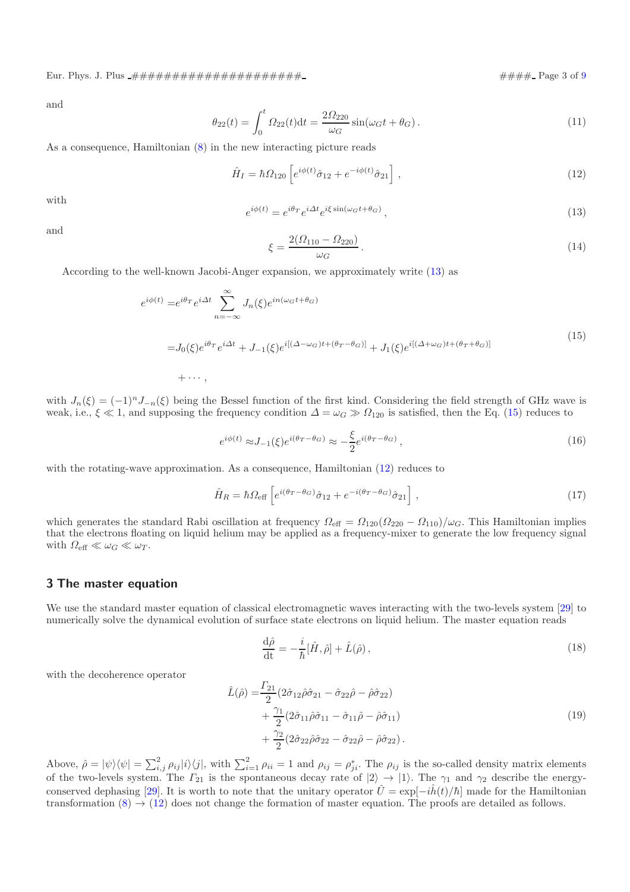Eur. Phys. J. Plus ##################### #### Page 3 of [9](#page-7-4)

and

$$
\theta_{22}(t) = \int_0^t \Omega_{22}(t) dt = \frac{2\Omega_{220}}{\omega_G} \sin(\omega_G t + \theta_G).
$$
 (11)

As a consequence, Hamiltonian [\(8\)](#page-1-4) in the new interacting picture reads

<span id="page-2-2"></span>
$$
\hat{H}_I = \hbar \Omega_{120} \left[ e^{i\phi(t)} \hat{\sigma}_{12} + e^{-i\phi(t)} \hat{\sigma}_{21} \right], \qquad (12)
$$

with

<span id="page-2-0"></span>
$$
e^{i\phi(t)} = e^{i\theta_T} e^{i\Delta t} e^{i\xi \sin(\omega_G t + \theta_G)}, \qquad (13)
$$

and

<span id="page-2-5"></span>
$$
\xi = \frac{2(\Omega_{110} - \Omega_{220})}{\omega_G}.
$$
\n(14)

According to the well-known Jacobi-Anger expansion, we approximately write [\(13\)](#page-2-0) as

<span id="page-2-1"></span>
$$
e^{i\phi(t)} = e^{i\theta_T} e^{i\Delta t} \sum_{n=-\infty}^{\infty} J_n(\xi) e^{in(\omega_G t + \theta_G)}
$$
  
=  $J_0(\xi) e^{i\theta_T} e^{i\Delta t} + J_{-1}(\xi) e^{i[(\Delta - \omega_G)t + (\theta_T - \theta_G)]} + J_1(\xi) e^{i[(\Delta + \omega_G)t + (\theta_T + \theta_G)]}$  (15)  
+  $\cdots$ ,

with  $J_n(\xi) = (-1)^n J_{-n}(\xi)$  being the Bessel function of the first kind. Considering the field strength of GHz wave is weak, i.e.,  $\xi \ll 1$ , and supposing the frequency condition  $\Delta = \omega_G \gg \Omega_{120}$  is satisfied, then the Eq. [\(15\)](#page-2-1) reduces to

$$
e^{i\phi(t)} \approx J_{-1}(\xi)e^{i(\theta_T - \theta_G)} \approx -\frac{\xi}{2}e^{i(\theta_T - \theta_G)},\tag{16}
$$

with the rotating-wave approximation. As a consequence, Hamiltonian [\(12\)](#page-2-2) reduces to

<span id="page-2-4"></span>
$$
\hat{H}_R = \hbar \Omega_{\text{eff}} \left[ e^{i(\theta_T - \theta_G)} \hat{\sigma}_{12} + e^{-i(\theta_T - \theta_G)} \hat{\sigma}_{21} \right], \tag{17}
$$

which generates the standard Rabi oscillation at frequency  $\Omega_{\text{eff}} = \Omega_{120}(\Omega_{220} - \Omega_{110})/\omega_G$ . This Hamiltonian implies that the electrons floating on liquid helium may be applied as a frequency-mixer to generate the low frequency signal with  $\Omega_{\text{eff}} \ll \omega_G \ll \omega_T$ .

#### 3 The master equation

We use the standard master equation of classical electromagnetic waves interacting with the two-levels system [\[29\]](#page-8-13) to numerically solve the dynamical evolution of surface state electrons on liquid helium. The master equation reads

<span id="page-2-3"></span>
$$
\frac{\mathrm{d}\hat{\rho}}{\mathrm{dt}} = -\frac{i}{\hbar}[\hat{H}, \hat{\rho}] + \hat{L}(\hat{\rho}),\tag{18}
$$

with the decoherence operator

$$
\hat{L}(\hat{\rho}) = \frac{\Gamma_{21}}{2} (2\hat{\sigma}_{12}\hat{\rho}\hat{\sigma}_{21} - \hat{\sigma}_{22}\hat{\rho} - \hat{\rho}\hat{\sigma}_{22}) \n+ \frac{\gamma_1}{2} (2\hat{\sigma}_{11}\hat{\rho}\hat{\sigma}_{11} - \hat{\sigma}_{11}\hat{\rho} - \hat{\rho}\hat{\sigma}_{11}) \n+ \frac{\gamma_2}{2} (2\hat{\sigma}_{22}\hat{\rho}\hat{\sigma}_{22} - \hat{\sigma}_{22}\hat{\rho} - \hat{\rho}\hat{\sigma}_{22}).
$$
\n(19)

Above,  $\hat{\rho} = |\psi\rangle\langle\psi| = \sum_{i,j}^2 \rho_{ij} |i\rangle\langle j|$ , with  $\sum_{i=1}^2 \rho_{ii} = 1$  and  $\rho_{ij} = \rho_{ji}^*$ . The  $\rho_{ij}$  is the so-called density matrix elements of the two-levels system. The  $\Gamma_{21}$  is the spontaneous decay rate of  $|2\rangle \rightarrow |1\rangle$ . The  $\gamma_1$  and  $\gamma_2$  describe the energy-conserved dephasing [\[29\]](#page-8-13). It is worth to note that the unitary operator  $\hat{U} = \exp[-i\hat{h}(t)/\hbar]$  made for the Hamiltonian transformation  $(8) \rightarrow (12)$  $(8) \rightarrow (12)$  does not change the formation of master equation. The proofs are detailed as follows.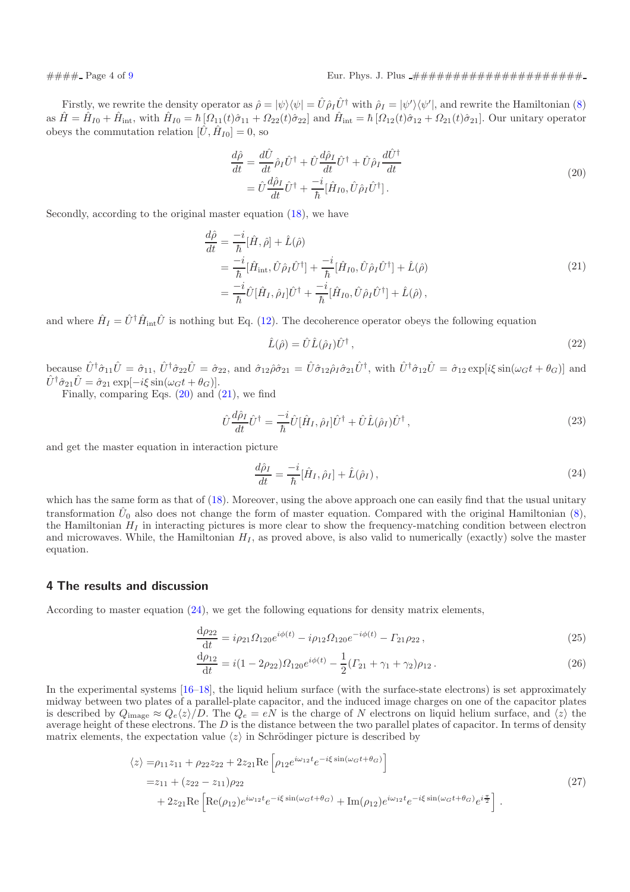Firstly, we rewrite the density operator as  $\hat{\rho} = |\psi\rangle\langle\psi| = \hat{U}\hat{\rho}_I\hat{U}^\dagger$  with  $\hat{\rho}_I = |\psi'\rangle\langle\psi'|$ , and rewrite the Hamiltonian [\(8\)](#page-1-4) as  $\hat{H} = \hat{H}_{I0} + \hat{H}_{\text{int}}$ , with  $\hat{H}_{I0} = \hbar [\Omega_{11}(t)\hat{\sigma}_{11} + \Omega_{22}(t)\hat{\sigma}_{22}]$  and  $\hat{H}_{\text{int}} = \hbar [\Omega_{12}(t)\hat{\sigma}_{12} + \Omega_{21}(t)\hat{\sigma}_{21}]$ . Our unitary operator obeys the commutation relation  $[\hat{U}, \hat{H}_{I0}] = 0$ , so

<span id="page-3-0"></span>
$$
\frac{d\hat{\rho}}{dt} = \frac{d\hat{U}}{dt}\hat{\rho}_I\hat{U}^\dagger + \hat{U}\frac{d\hat{\rho}_I}{dt}\hat{U}^\dagger + \hat{U}\hat{\rho}_I\frac{d\hat{U}^\dagger}{dt}
$$
\n
$$
= \hat{U}\frac{d\hat{\rho}_I}{dt}\hat{U}^\dagger + \frac{-i}{\hbar}[\hat{H}_{I0},\hat{U}\hat{\rho}_I\hat{U}^\dagger].
$$
\n(20)

Secondly, according to the original master equation [\(18\)](#page-2-3), we have

<span id="page-3-1"></span>
$$
\frac{d\hat{\rho}}{dt} = \frac{-i}{\hbar} [\hat{H}, \hat{\rho}] + \hat{L}(\hat{\rho})
$$
\n
$$
= \frac{-i}{\hbar} [\hat{H}_{int}, \hat{U}\hat{\rho}_{I}\hat{U}^{\dagger}] + \frac{-i}{\hbar} [\hat{H}_{I0}, \hat{U}\hat{\rho}_{I}\hat{U}^{\dagger}] + \hat{L}(\hat{\rho})
$$
\n
$$
= \frac{-i}{\hbar} \hat{U} [\hat{H}_{I}, \hat{\rho}_{I}] \hat{U}^{\dagger} + \frac{-i}{\hbar} [\hat{H}_{I0}, \hat{U}\hat{\rho}_{I}\hat{U}^{\dagger}] + \hat{L}(\hat{\rho}),
$$
\n(21)

and where  $\hat{H}_I = \hat{U}^\dagger \hat{H}_{\text{int}} \hat{U}$  is nothing but Eq. [\(12\)](#page-2-2). The decoherence operator obeys the following equation

$$
\hat{L}(\hat{\rho}) = \hat{U}\hat{L}(\hat{\rho}_I)\hat{U}^{\dagger},\tag{22}
$$

because  $\hat{U}^{\dagger}\hat{\sigma}_{11}\hat{U} = \hat{\sigma}_{11}$ ,  $\hat{U}^{\dagger}\hat{\sigma}_{22}\hat{U} = \hat{\sigma}_{22}$ , and  $\hat{\sigma}_{12}\hat{\rho}\hat{\sigma}_{21} = \hat{U}\hat{\sigma}_{12}\hat{\rho}_{1}\hat{\sigma}_{21}\hat{U}^{\dagger}$ , with  $\hat{U}^{\dagger}\hat{\sigma}_{12}\hat{U} = \hat{\sigma}_{12} \exp[i\xi \sin(\omega_{G}t + \theta_{G})]$  and  $\hat{U}^{\dagger}\hat{\sigma}_{21}\hat{U}=\hat{\sigma}_{21} \exp[-i\xi \sin(\omega_{G}t+\theta_{G})].$ 

Finally, comparing Eqs.  $(20)$  and  $(21)$ , we find

<span id="page-3-6"></span>
$$
\hat{U}\frac{d\hat{\rho}_I}{dt}\hat{U}^{\dagger} = \frac{-i}{\hbar}\hat{U}[\hat{H}_I, \hat{\rho}_I]\hat{U}^{\dagger} + \hat{U}\hat{L}(\hat{\rho}_I)\hat{U}^{\dagger},\tag{23}
$$

and get the master equation in interaction picture

<span id="page-3-4"></span><span id="page-3-3"></span><span id="page-3-2"></span>
$$
\frac{d\hat{\rho}_I}{dt} = -\frac{i}{\hbar} [\hat{H}_I, \hat{\rho}_I] + \hat{L}(\hat{\rho}_I),\tag{24}
$$

which has the same form as that of [\(18\)](#page-2-3). Moreover, using the above approach one can easily find that the usual unitary transformation  $\hat{U}_0$  also does not change the form of master equation. Compared with the original Hamiltonian [\(8\)](#page-1-4), the Hamiltonian  $H_I$  in interacting pictures is more clear to show the frequency-matching condition between electron and microwaves. While, the Hamiltonian  $H_I$ , as proved above, is also valid to numerically (exactly) solve the master equation.

### 4 The results and discussion

According to master equation [\(24\)](#page-3-2), we get the following equations for density matrix elements,

$$
\frac{\mathrm{d}\rho_{22}}{\mathrm{d}t} = i\rho_{21}\Omega_{120}e^{i\phi(t)} - i\rho_{12}\Omega_{120}e^{-i\phi(t)} - \Gamma_{21}\rho_{22},\tag{25}
$$

$$
\frac{d\rho_{12}}{dt} = i(1 - 2\rho_{22})\Omega_{120}e^{i\phi(t)} - \frac{1}{2}(\Gamma_{21} + \gamma_1 + \gamma_2)\rho_{12}.
$$
\n(26)

In the experimental systems [\[16](#page-8-1)[–18\]](#page-8-3), the liquid helium surface (with the surface-state electrons) is set approximately midway between two plates of a parallel-plate capacitor, and the induced image charges on one of the capacitor plates is described by  $Q_{\text{image}} \approx Q_e\langle z \rangle/D$ . The  $Q_e = eN$  is the charge of N electrons on liquid helium surface, and  $\langle z \rangle$  the average height of these electrons. The  $D$  is the distance between the two parallel plates of capacitor. In terms of density matrix elements, the expectation value  $\langle z \rangle$  in Schrödinger picture is described by

<span id="page-3-5"></span>
$$
\langle z \rangle = \rho_{11} z_{11} + \rho_{22} z_{22} + 2 z_{21} \text{Re} \left[ \rho_{12} e^{i\omega_{12} t} e^{-i\xi \sin(\omega_G t + \theta_G)} \right]
$$
  
=  $z_{11} + (z_{22} - z_{11}) \rho_{22}$   
+  $2 z_{21} \text{Re} \left[ \text{Re}(\rho_{12}) e^{i\omega_{12} t} e^{-i\xi \sin(\omega_G t + \theta_G)} + \text{Im}(\rho_{12}) e^{i\omega_{12} t} e^{-i\xi \sin(\omega_G t + \theta_G)} e^{i\frac{\pi}{2}} \right].$  (27)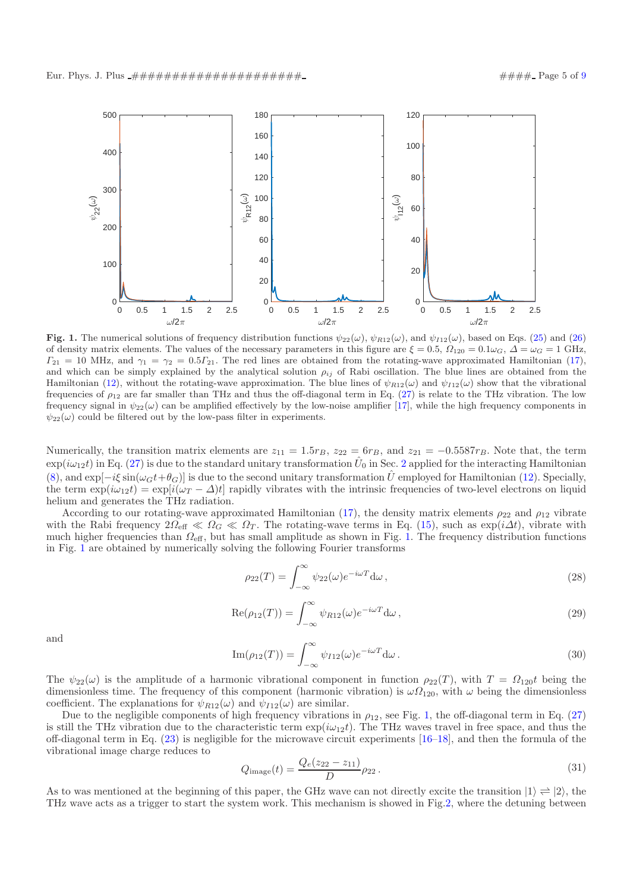

<span id="page-4-0"></span>Fig. 1. The numerical solutions of frequency distribution functions  $\psi_{22}(\omega)$ ,  $\psi_{R12}(\omega)$ , and  $\psi_{I12}(\omega)$ , based on Eqs. [\(25\)](#page-3-3) and [\(26\)](#page-3-4) of density matrix elements. The values of the necessary parameters in this figure are  $\xi = 0.5$ ,  $\Omega_{120} = 0.1 \omega_G$ ,  $\Delta = \omega_G = 1$  GHz,  $\Gamma_{21} = 10$  MHz, and  $\gamma_1 = \gamma_2 = 0.5\Gamma_{21}$ . The red lines are obtained from the rotating-wave approximated Hamiltonian [\(17\)](#page-2-4), and which can be simply explained by the analytical solution  $\rho_{ij}$  of Rabi oscillation. The blue lines are obtained from the Hamiltonian [\(12\)](#page-2-2), without the rotating-wave approximation. The blue lines of  $\psi_{R12}(\omega)$  and  $\psi_{I12}(\omega)$  show that the vibrational frequencies of  $\rho_{12}$  are far smaller than THz and thus the off-diagonal term in Eq. [\(27\)](#page-3-5) is relate to the THz vibration. The low frequency signal in  $\psi_{22}(\omega)$  can be amplified effectively by the low-noise amplifier [\[17](#page-8-2)], while the high frequency components in  $\psi_{22}(\omega)$  could be filtered out by the low-pass filter in experiments.

Numerically, the transition matrix elements are  $z_{11} = 1.5r_B$ ,  $z_{22} = 6r_B$ , and  $z_{21} = -0.5587r_B$ . Note that, the term  $\exp(i\omega_{12}t)$  $\exp(i\omega_{12}t)$  $\exp(i\omega_{12}t)$  in Eq. [\(27\)](#page-3-5) is due to the standard unitary transformation  $\hat{U}_0$  in Sec. 2 applied for the interacting Hamiltonian [\(8\)](#page-1-4), and  $\exp[-i\xi \sin(\omega_G t + \theta_G)]$  is due to the second unitary transformation  $\hat{U}$  employed for Hamiltonian [\(12\)](#page-2-2). Specially, the term  $\exp(i\omega_1\psi) = \exp[i(\omega_T - \Delta)t]$  rapidly vibrates with the intrinsic frequencies of two-level electrons on liquid helium and generates the THz radiation.

According to our rotating-wave approximated Hamiltonian [\(17\)](#page-2-4), the density matrix elements  $\rho_{22}$  and  $\rho_{12}$  vibrate with the Rabi frequency  $2\Omega_{\text{eff}} \ll \Omega_G \ll \Omega_T$ . The rotating-wave terms in Eq. [\(15\)](#page-2-1), such as  $\exp(i\Delta t)$ , vibrate with much higher frequencies than  $\Omega_{\text{eff}}$ , but has small amplitude as shown in Fig. [1.](#page-4-0) The frequency distribution functions in Fig. [1](#page-4-0) are obtained by numerically solving the following Fourier transforms

$$
\rho_{22}(T) = \int_{-\infty}^{\infty} \psi_{22}(\omega) e^{-i\omega T} d\omega, \qquad (28)
$$

$$
\operatorname{Re}(\rho_{12}(T)) = \int_{-\infty}^{\infty} \psi_{R12}(\omega) e^{-i\omega T} d\omega, \qquad (29)
$$

and

$$
\operatorname{Im}(\rho_{12}(T)) = \int_{-\infty}^{\infty} \psi_{I12}(\omega) e^{-i\omega T} d\omega.
$$
 (30)

The  $\psi_{22}(\omega)$  is the amplitude of a harmonic vibrational component in function  $\rho_{22}(T)$ , with  $T = \Omega_{120}t$  being the dimensionless time. The frequency of this component (harmonic vibration) is  $\omega\Omega_{120}$ , with  $\omega$  being the dimensionless coefficient. The explanations for  $\psi_{R12}(\omega)$  and  $\psi_{I12}(\omega)$  are similar.

Due to the negligible components of high frequency vibrations in  $\rho_{12}$ , see Fig. [1,](#page-4-0) the off-diagonal term in Eq. [\(27\)](#page-3-5) is still the THz vibration due to the characteristic term  $\exp(i\omega_12t)$ . The THz waves travel in free space, and thus the off-diagonal term in Eq. [\(23\)](#page-3-6) is negligible for the microwave circuit experiments [\[16](#page-8-1)[–18](#page-8-3)], and then the formula of the vibrational image charge reduces to

$$
Q_{\text{image}}(t) = \frac{Q_e(z_{22} - z_{11})}{D} \rho_{22} \,. \tag{31}
$$

As to was mentioned at the beginning of this paper, the GHz wave can not directly excite the transition  $|1\rangle \rightleftharpoons |2\rangle$ , the THz wave acts as a trigger to start the system work. This mechanism is showed in Fig[.2,](#page-5-0) where the detuning between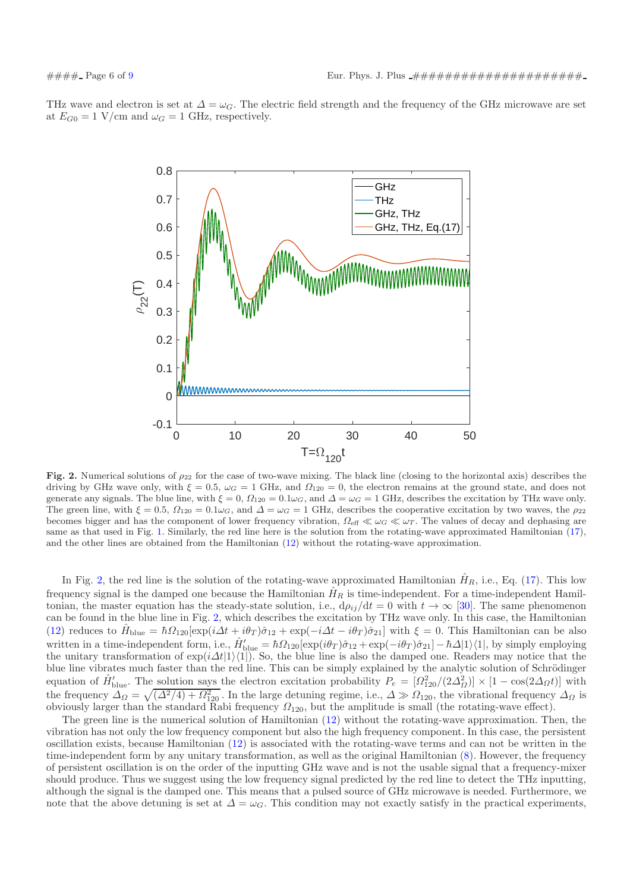THz wave and electron is set at  $\Delta = \omega_G$ . The electric field strength and the frequency of the GHz microwave are set at  $E_{G0} = 1$  V/cm and  $\omega_G = 1$  GHz, respectively.



<span id="page-5-0"></span>Fig. 2. Numerical solutions of  $\rho_{22}$  for the case of two-wave mixing. The black line (closing to the horizontal axis) describes the driving by GHz wave only, with  $\xi = 0.5$ ,  $\omega_G = 1$  GHz, and  $\Omega_{120} = 0$ , the electron remains at the ground state, and does not generate any signals. The blue line, with  $\xi = 0$ ,  $\Omega_{120} = 0.1\omega_G$ , and  $\Delta = \omega_G = 1$  GHz, describes the excitation by THz wave only. The green line, with  $\xi = 0.5$ ,  $\Omega_{120} = 0.1\omega_G$ , and  $\Delta = \omega_G = 1$  GHz, describes the cooperative excitation by two waves, the  $\rho_{22}$ becomes bigger and has the component of lower frequency vibration,  $\Omega_{\text{eff}} \ll \omega_G \ll \omega_T$ . The values of decay and dephasing are same as that used in Fig. [1.](#page-4-0) Similarly, the red line here is the solution from the rotating-wave approximated Hamiltonian [\(17\)](#page-2-4), and the other lines are obtained from the Hamiltonian [\(12\)](#page-2-2) without the rotating-wave approximation.

In Fig. [2,](#page-5-0) the red line is the solution of the rotating-wave approximated Hamiltonian  $H<sub>R</sub>$ , i.e., Eq. [\(17\)](#page-2-4). This low frequency signal is the damped one because the Hamiltonian  $H_R$  is time-independent. For a time-independent Hamiltonian, the master equation has the steady-state solution, i.e.,  $d\rho_{ij}/dt = 0$  with  $t \to \infty$  [\[30\]](#page-8-14). The same phenomenon can be found in the blue line in Fig. [2,](#page-5-0) which describes the excitation by THz wave only. In this case, the Hamiltonian [\(12\)](#page-2-2) reduces to  $\hat{H}_{blue} = \hbar \Omega_{120} [\exp(i\Delta t + i\theta_T)\hat{\sigma}_{12} + \exp(-i\Delta t - i\theta_T)\hat{\sigma}_{21}]$  with  $\xi = 0$ . This Hamiltonian can be also written in a time-independent form, i.e.,  $\hat{H}_{\text{blue}}' = \hbar \Omega_{120} [\exp(i\theta_T)\hat{\sigma}_{12} + \exp(-i\theta_T)\hat{\sigma}_{21}] - \hbar \Delta |1\rangle\langle 1|$ , by simply employing the unitary transformation of  $\exp(i\Delta t|1\rangle\langle1|)$ . So, the blue line is also the damped one. Readers may notice that the blue line vibrates much faster than the red line. This can be simply explained by the analytic solution of Schrödinger equation of  $\hat{H}_{\text{blue}}'$ . The solution says the electron excitation probability  $P_e = [Q_{120}^2/(2\Delta_{\Omega}^2)] \times [1 - \cos(2\Delta_{\Omega}t)]$  with the frequency  $\Delta_{\Omega} = \sqrt{(\Delta^2/4) + \Omega_{120}^2}$ . In the large detuning regime, i.e.,  $\Delta \gg \Omega_{120}$ , the vibrational frequency  $\Delta_{\Omega}$  is obviously larger than the standard Rabi frequency  $\Omega_{120}$ , but the amplitude is small (the rotating-wave effect).

The green line is the numerical solution of Hamiltonian [\(12\)](#page-2-2) without the rotating-wave approximation. Then, the vibration has not only the low frequency component but also the high frequency component. In this case, the persistent oscillation exists, because Hamiltonian [\(12\)](#page-2-2) is associated with the rotating-wave terms and can not be written in the time-independent form by any unitary transformation, as well as the original Hamiltonian [\(8\)](#page-1-4). However, the frequency of persistent oscillation is on the order of the inputting GHz wave and is not the usable signal that a frequency-mixer should produce. Thus we suggest using the low frequency signal predicted by the red line to detect the THz inputting, although the signal is the damped one. This means that a pulsed source of GHz microwave is needed. Furthermore, we note that the above detuning is set at  $\Delta = \omega_G$ . This condition may not exactly satisfy in the practical experiments,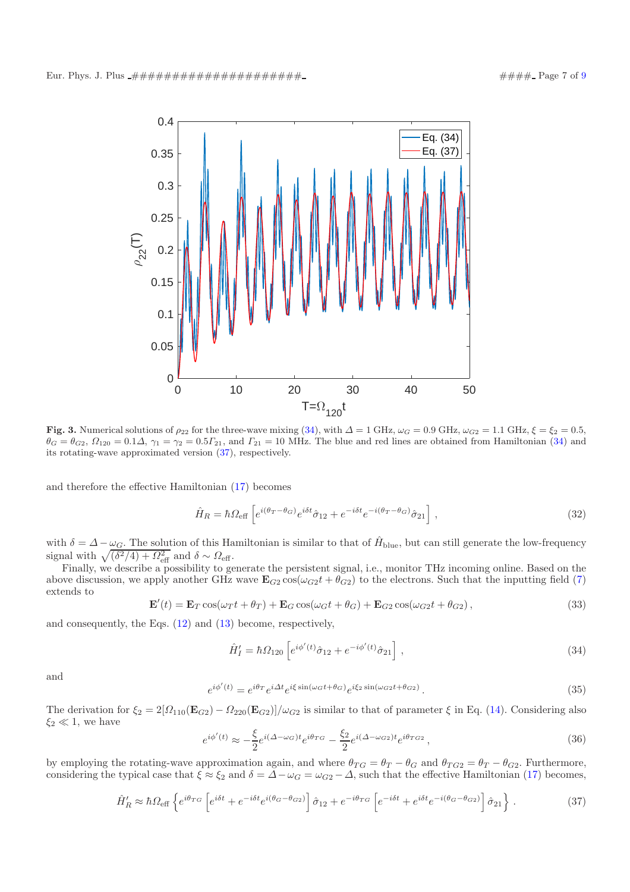

<span id="page-6-2"></span>Fig. 3. Numerical solutions of  $\rho_{22}$  for the three-wave mixing [\(34\)](#page-6-0), with  $\Delta = 1$  GHz,  $\omega_G = 0.9$  GHz,  $\omega_{G2} = 1.1$  GHz,  $\xi = \xi_2 = 0.5$ ,  $\theta_G = \theta_{G2}, \Omega_{120} = 0.1\Delta, \gamma_1 = \gamma_2 = 0.5\Gamma_{21}$ , and  $\Gamma_{21} = 10$  MHz. The blue and red lines are obtained from Hamiltonian [\(34\)](#page-6-0) and its rotating-wave approximated version [\(37\)](#page-6-1), respectively.

and therefore the effective Hamiltonian [\(17\)](#page-2-4) becomes

$$
\hat{H}_R = \hbar \Omega_{\text{eff}} \left[ e^{i(\theta_T - \theta_G)} e^{i\delta t} \hat{\sigma}_{12} + e^{-i\delta t} e^{-i(\theta_T - \theta_G)} \hat{\sigma}_{21} \right], \tag{32}
$$

with  $\delta = \Delta - \omega_G$ . The solution of this Hamiltonian is similar to that of  $\hat{H}_{blue}$ , but can still generate the low-frequency signal with  $\sqrt{(\delta^2/4) + \Omega_{\text{eff}}^2}$  and  $\delta \sim \Omega_{\text{eff}}$ .

Finally, we describe a possibility to generate the persistent signal, i.e., monitor THz incoming online. Based on the above discussion, we apply another GHz wave  $\mathbf{E}_{G2} \cos(\omega_{G2}t + \theta_{G2})$  to the electrons. Such that the inputting field [\(7\)](#page-1-6) extends to

$$
\mathbf{E}'(t) = \mathbf{E}_T \cos(\omega_T t + \theta_T) + \mathbf{E}_G \cos(\omega_G t + \theta_G) + \mathbf{E}_{G2} \cos(\omega_G t + \theta_{G2}),
$$
\n(33)

and consequently, the Eqs. [\(12\)](#page-2-2) and [\(13\)](#page-2-0) become, respectively,

<span id="page-6-0"></span>
$$
\hat{H}'_I = \hbar \Omega_{120} \left[ e^{i\phi'(t)} \hat{\sigma}_{12} + e^{-i\phi'(t)} \hat{\sigma}_{21} \right],
$$
\n(34)

and

$$
e^{i\phi'(t)} = e^{i\theta_T} e^{i\Delta t} e^{i\xi \sin(\omega_G t + \theta_G)} e^{i\xi_2 \sin(\omega_{G2} t + \theta_{G2})}.
$$
\n(35)

The derivation for  $\xi_2 = 2[\Omega_{110}(\mathbf{E}_{G2}) - \Omega_{220}(\mathbf{E}_{G2})]/\omega_{G2}$  is similar to that of parameter  $\xi$  in Eq. [\(14\)](#page-2-5). Considering also  $\xi_2 \ll 1$ , we have

$$
e^{i\phi'(t)} \approx -\frac{\xi}{2} e^{i(\Delta - \omega_G)t} e^{i\theta_{TG}} - \frac{\xi_2}{2} e^{i(\Delta - \omega_{G2})t} e^{i\theta_{TG2}}, \qquad (36)
$$

by employing the rotating-wave approximation again, and where  $\theta_{TG} = \theta_T - \theta_G$  and  $\theta_{TG2} = \theta_T - \theta_{G2}$ . Furthermore, considering the typical case that  $\xi \approx \xi_2$  and  $\delta = \Delta - \omega_G = \omega_{G2} - \Delta$ , such that the effective Hamiltonian [\(17\)](#page-2-4) becomes,

<span id="page-6-1"></span>
$$
\hat{H}'_R \approx \hbar \Omega_{\text{eff}} \left\{ e^{i\theta_{TG}} \left[ e^{i\delta t} + e^{-i\delta t} e^{i(\theta_G - \theta_{G2})} \right] \hat{\sigma}_{12} + e^{-i\theta_{TG}} \left[ e^{-i\delta t} + e^{i\delta t} e^{-i(\theta_G - \theta_{G2})} \right] \hat{\sigma}_{21} \right\}.
$$
\n(37)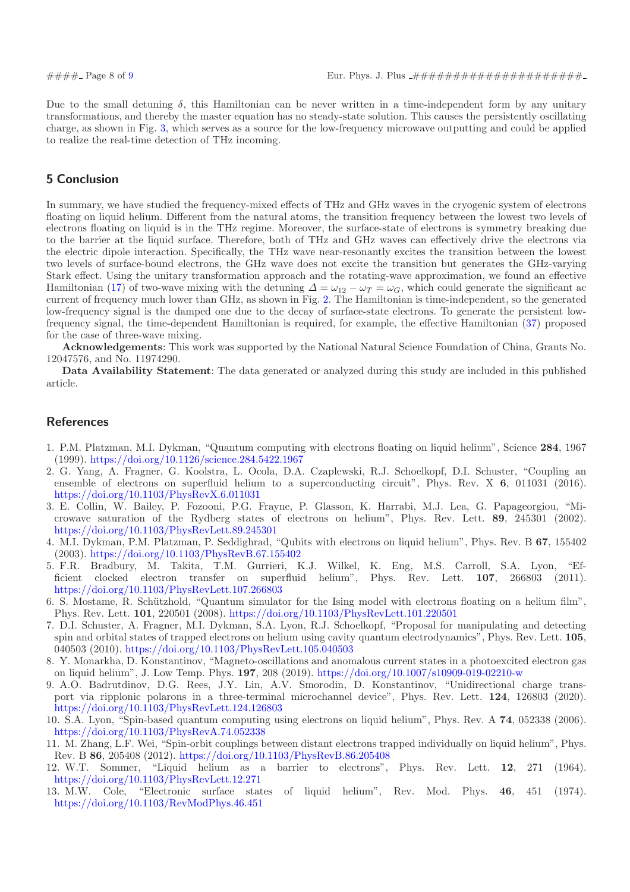Due to the small detuning  $\delta$ , this Hamiltonian can be never written in a time-independent form by any unitary transformations, and thereby the master equation has no steady-state solution. This causes the persistently oscillating charge, as shown in Fig. [3,](#page-6-2) which serves as a source for the low-frequency microwave outputting and could be applied to realize the real-time detection of THz incoming.

# 5 Conclusion

In summary, we have studied the frequency-mixed effects of THz and GHz waves in the cryogenic system of electrons floating on liquid helium. Different from the natural atoms, the transition frequency between the lowest two levels of electrons floating on liquid is in the THz regime. Moreover, the surface-state of electrons is symmetry breaking due to the barrier at the liquid surface. Therefore, both of THz and GHz waves can effectively drive the electrons via the electric dipole interaction. Specifically, the THz wave near-resonantly excites the transition between the lowest two levels of surface-bound electrons, the GHz wave does not excite the transition but generates the GHz-varying Stark effect. Using the unitary transformation approach and the rotating-wave approximation, we found an effective Hamiltonian [\(17\)](#page-2-4) of two-wave mixing with the detuning  $\Delta = \omega_{12} - \omega_T = \omega_G$ , which could generate the significant ac current of frequency much lower than GHz, as shown in Fig. [2.](#page-5-0) The Hamiltonian is time-independent, so the generated low-frequency signal is the damped one due to the decay of surface-state electrons. To generate the persistent lowfrequency signal, the time-dependent Hamiltonian is required, for example, the effective Hamiltonian [\(37\)](#page-6-1) proposed for the case of three-wave mixing.

Acknowledgements: This work was supported by the National Natural Science Foundation of China, Grants No. 12047576, and No. 11974290.

Data Availability Statement: The data generated or analyzed during this study are included in this published article.

## <span id="page-7-4"></span>**References**

- <span id="page-7-0"></span>1. P.M. Platzman, M.I. Dykman, "Quantum computing with electrons floating on liquid helium", Science 284, 1967 (1999). <https://doi.org/10.1126/science.284.5422.1967>
- 2. G. Yang, A. Fragner, G. Koolstra, L. Ocola, D.A. Czaplewski, R.J. Schoelkopf, D.I. Schuster, "Coupling an ensemble of electrons on superfluid helium to a superconducting circuit", Phys. Rev. X 6, 011031 (2016). <https://doi.org/10.1103/PhysRevX.6.011031>
- 3. E. Collin, W. Bailey, P. Fozooni, P.G. Frayne, P. Glasson, K. Harrabi, M.J. Lea, G. Papageorgiou, "Microwave saturation of the Rydberg states of electrons on helium", Phys. Rev. Lett. 89, 245301 (2002). <https://doi.org/10.1103/PhysRevLett.89.245301>
- 4. M.I. Dykman, P.M. Platzman, P. Seddighrad, "Qubits with electrons on liquid helium", Phys. Rev. B 67, 155402 (2003). <https://doi.org/10.1103/PhysRevB.67.155402>
- 5. F.R. Bradbury, M. Takita, T.M. Gurrieri, K.J. Wilkel, K. Eng, M.S. Carroll, S.A. Lyon, "Efficient clocked electron transfer on superfluid helium", Phys. Rev. Lett. 107, 266803 <https://doi.org/10.1103/PhysRevLett.107.266803>
- 6. S. Mostame, R. Schützhold, "Quantum simulator for the Ising model with electrons floating on a helium film", Phys. Rev. Lett. 101, 220501 (2008). <https://doi.org/10.1103/PhysRevLett.101.220501>
- 7. D.I. Schuster, A. Fragner, M.I. Dykman, S.A. Lyon, R.J. Schoelkopf, "Proposal for manipulating and detecting spin and orbital states of trapped electrons on helium using cavity quantum electrodynamics", Phys. Rev. Lett. 105, 040503 (2010). <https://doi.org/10.1103/PhysRevLett.105.040503>
- 8. Y. Monarkha, D. Konstantinov, "Magneto-oscillations and anomalous current states in a photoexcited electron gas on liquid helium", J. Low Temp. Phys. 197, 208 (2019). <https://doi.org/10.1007/s10909-019-02210-w>
- 9. A.O. Badrutdinov, D.G. Rees, J.Y. Lin, A.V. Smorodin, D. Konstantinov, "Unidirectional charge transport via ripplonic polarons in a three-terminal microchannel device", Phys. Rev. Lett. 124, 126803 (2020). <https://doi.org/10.1103/PhysRevLett.124.126803>
- 10. S.A. Lyon, "Spin-based quantum computing using electrons on liquid helium", Phys. Rev. A 74, 052338 (2006). <https://doi.org/10.1103/PhysRevA.74.052338>
- <span id="page-7-1"></span>11. M. Zhang, L.F. Wei, "Spin-orbit couplings between distant electrons trapped individually on liquid helium", Phys. Rev. B 86, 205408 (2012). <https://doi.org/10.1103/PhysRevB.86.205408>
- <span id="page-7-2"></span>12. W.T. Sommer, "Liquid helium as a barrier to electrons", Phys. Rev. Lett. 12, 271 (1964). <https://doi.org/10.1103/PhysRevLett.12.271><br>13. M.W. Cole, "Electronic surface stat
- <span id="page-7-3"></span>"Electronic surface states of liquid helium", Rev. Mod. Phys. 46, 451 (1974). <https://doi.org/10.1103/RevModPhys.46.451>